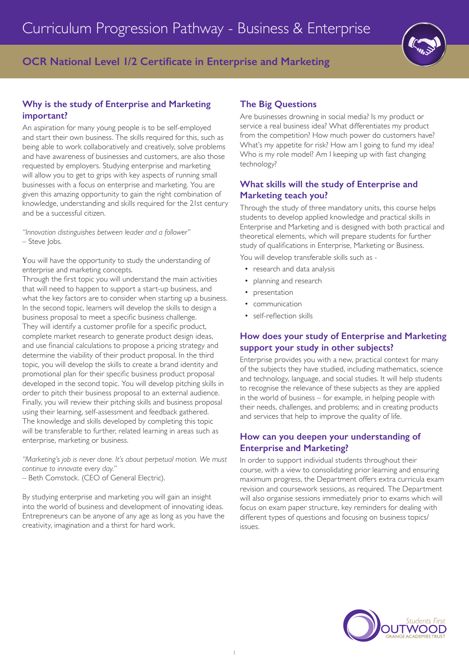# **OCR National Level 1/2 Certificate in Enterprise and Marketing**

## **Why is the study of Enterprise and Marketing important?**

An aspiration for many young people is to be self-employed and start their own business. The skills required for this, such as being able to work collaboratively and creatively, solve problems and have awareness of businesses and customers, are also those requested by employers. Studying enterprise and marketing will allow you to get to grips with key aspects of running small businesses with a focus on enterprise and marketing. You are given this amazing opportunity to gain the right combination of knowledge, understanding and skills required for the 21st century and be a successful citizen.

*"Innovation distinguishes between leader and a follower"* – Steve Jobs.

You will have the opportunity to study the understanding of enterprise and marketing concepts.

Through the first topic you will understand the main activities that will need to happen to support a start-up business, and what the key factors are to consider when starting up a business. In the second topic, learners will develop the skills to design a business proposal to meet a specific business challenge. They will identify a customer profile for a specific product, complete market research to generate product design ideas, and use financial calculations to propose a pricing strategy and determine the viability of their product proposal. In the third topic, you will develop the skills to create a brand identity and promotional plan for their specific business product proposal developed in the second topic. You will develop pitching skills in order to pitch their business proposal to an external audience. Finally, you will review their pitching skills and business proposal using their learning, self-assessment and feedback gathered. The knowledge and skills developed by completing this topic will be transferable to further, related learning in areas such as enterprise, marketing or business.

*"Marketing's job is never done. It's about perpetual motion. We must continue to innovate every day."* – Beth Comstock. (CEO of General Electric).

By studying enterprise and marketing you will gain an insight into the world of business and development of innovating ideas. Entrepreneurs can be anyone of any age as long as you have the creativity, imagination and a thirst for hard work.

## **The Big Questions**

Are businesses drowning in social media? Is my product or service a real business idea? What differentiates my product from the competition? How much power do customers have? What's my appetite for risk? How am I going to fund my idea? Who is my role model? Am I keeping up with fast changing technology?

## **What skills will the study of Enterprise and Marketing teach you?**

Through the study of three mandatory units, this course helps students to develop applied knowledge and practical skills in Enterprise and Marketing and is designed with both practical and theoretical elements, which will prepare students for further study of qualifications in Enterprise, Marketing or Business.

You will develop transferable skills such as -

- research and data analysis
- planning and research
- presentation
- communication
- self-reflection skills

## **How does your study of Enterprise and Marketing support your study in other subjects?**

Enterprise provides you with a new, practical context for many of the subjects they have studied, including mathematics, science and technology, language, and social studies. It will help students to recognise the relevance of these subjects as they are applied in the world of business – for example, in helping people with their needs, challenges, and problems; and in creating products and services that help to improve the quality of life.

## **How can you deepen your understanding of Enterprise and Marketing?**

In order to support individual students throughout their course, with a view to consolidating prior learning and ensuring maximum progress, the Department offers extra curricula exam revision and coursework sessions, as required. The Department will also organise sessions immediately prior to exams which will focus on exam paper structure, key reminders for dealing with different types of questions and focusing on business topics/ issues.

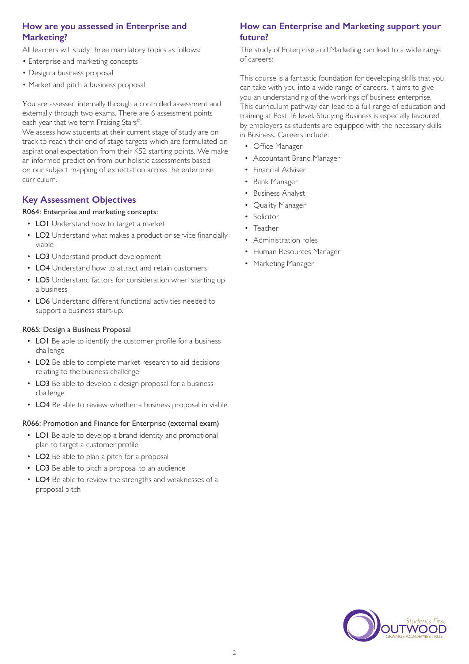## **How are you assessed in Enterprise and Marketing?**

All learners will study three mandatory topics as follows:

- Enterprise and marketing concepts
- Design a business proposal
- Market and pitch a business proposal

You are assessed internally through a controlled assessment and externally through two exams. There are 6 assessment points each year that we term Praising Stars©.

We assess how students at their current stage of study are on track to reach their end of stage targets which are formulated on aspirational expectation from their KS2 starting points. We make an informed prediction from our holistic assessments based on our subject mapping of expectation across the enterprise curriculum.

## **Key Assessment Objectives**

### R064: Enterprise and marketing concepts:

- LO1 Understand how to target a market
- LO2 Understand what makes a product or service financially viable
- LO3 Understand product development
- LO4 Understand how to attract and retain customers
- LO5 Understand factors for consideration when starting up a business
- LO6 Understand different functional activities needed to support a business start-up.

### R065: Design a Business Proposal

- LO1 Be able to identify the customer profile for a business challenge
- LO2 Be able to complete market research to aid decisions relating to the business challenge
- LO3 Be able to develop a design proposal for a business challenge
- LO4 Be able to review whether a business proposal in viable

#### R066: Promotion and Finance for Enterprise (external exam)

- LO1 Be able to develop a brand identity and promotional plan to target a customer profile
- LO2 Be able to plan a pitch for a proposal
- LO3 Be able to pitch a proposal to an audience
- LO4 Be able to review the strengths and weaknesses of a proposal pitch

## **How can Enterprise and Marketing support your future?**

The study of Enterprise and Marketing can lead to a wide range of careers:

This course is a fantastic foundation for developing skills that you can take with you into a wide range of careers. It aims to give you an understanding of the workings of business enterprise. This curriculum pathway can lead to a full range of education and training at Post 16 level. Studying Business is especially favoured by employers as students are equipped with the necessary skills in Business. Careers include:

- Office Manager
- Accountant Brand Manager
- Financial Adviser
- Bank Manager
- Business Analyst
- Quality Manager
- Solicitor
- Teacher
- Administration roles
- Human Resources Manager
- Marketing Manager